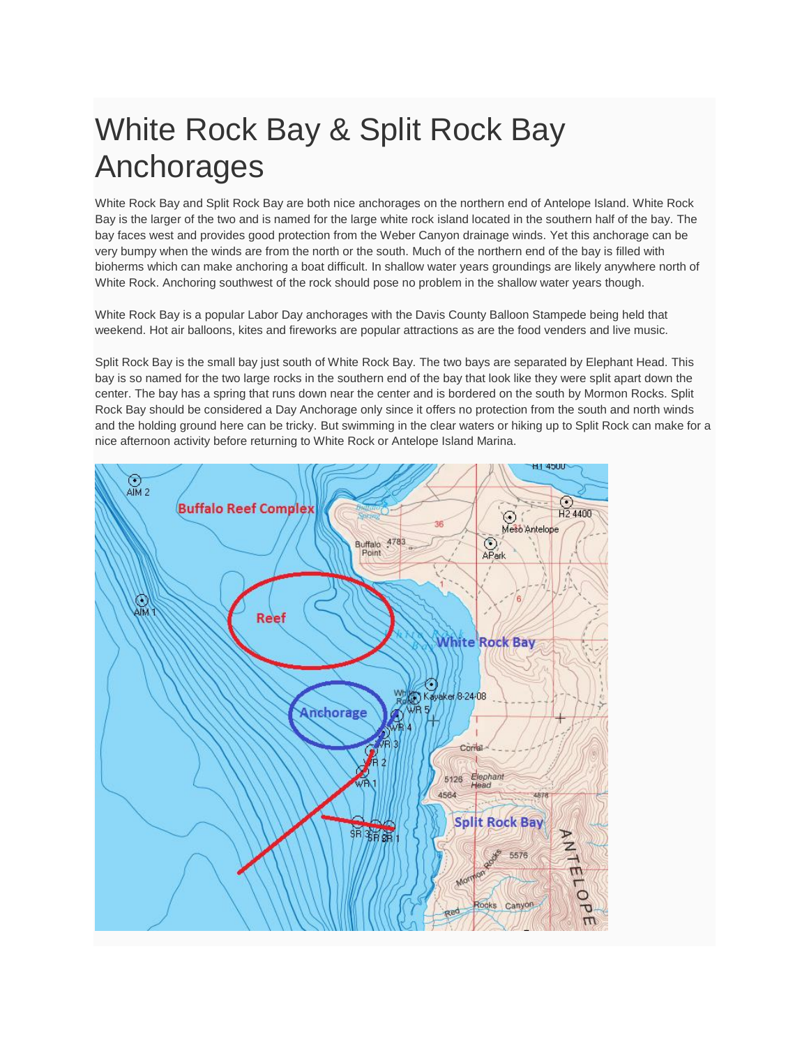# White Rock Bay & Split Rock Bay Anchorages

White Rock Bay and Split Rock Bay are both nice anchorages on the northern end of Antelope Island. White Rock Bay is the larger of the two and is named for the large white rock island located in the southern half of the bay. The bay faces west and provides good protection from the Weber Canyon drainage winds. Yet this anchorage can be very bumpy when the winds are from the north or the south. Much of the northern end of the bay is filled with bioherms which can make anchoring a boat difficult. In shallow water years groundings are likely anywhere north of White Rock. Anchoring southwest of the rock should pose no problem in the shallow water years though.

White Rock Bay is a popular Labor Day anchorages with the Davis County Balloon Stampede being held that weekend. Hot air balloons, kites and fireworks are popular attractions as are the food venders and live music.

Split Rock Bay is the small bay just south of White Rock Bay. The two bays are separated by Elephant Head. This bay is so named for the two large rocks in the southern end of the bay that look like they were split apart down the center. The bay has a spring that runs down near the center and is bordered on the south by Mormon Rocks. Split Rock Bay should be considered a Day Anchorage only since it offers no protection from the south and north winds and the holding ground here can be tricky. But swimming in the clear waters or hiking up to Split Rock can make for a nice afternoon activity before returning to White Rock or Antelope Island Marina.

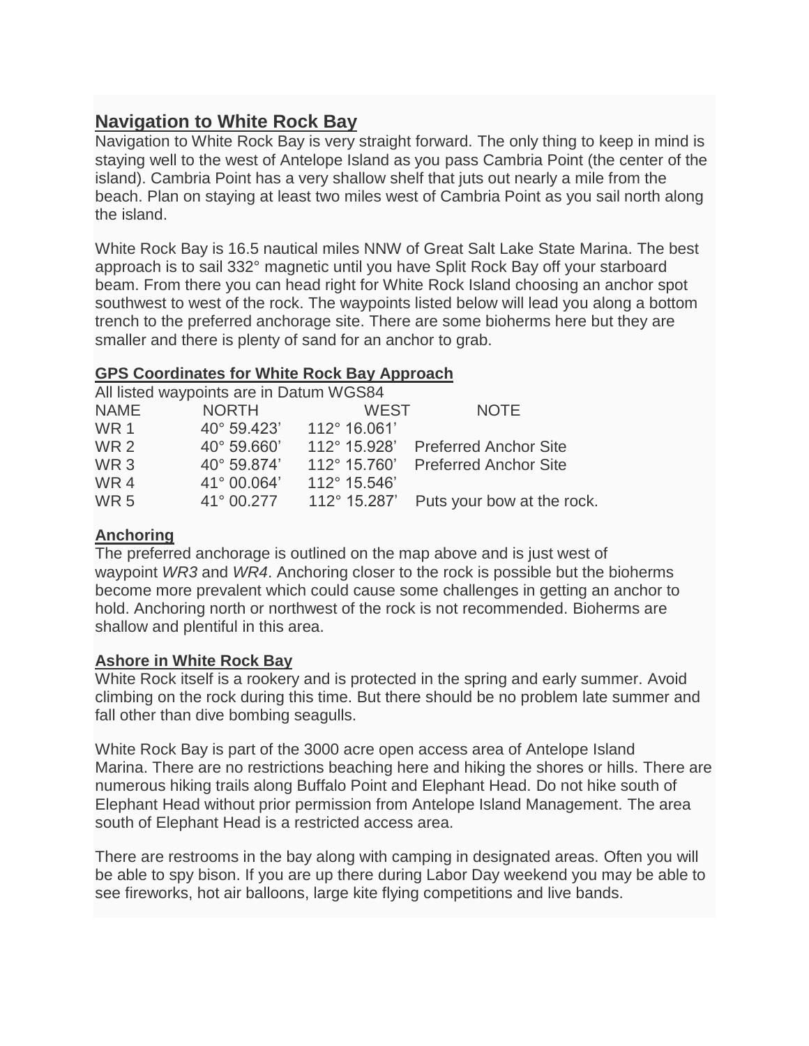# **Navigation to White Rock Bay**

Navigation to White Rock Bay is very straight forward. The only thing to keep in mind is staying well to the west of Antelope Island as you pass Cambria Point (the center of the island). Cambria Point has a very shallow shelf that juts out nearly a mile from the beach. Plan on staying at least two miles west of Cambria Point as you sail north along the island.

White Rock Bay is 16.5 nautical miles NNW of Great Salt Lake State Marina. The best approach is to sail 332° magnetic until you have Split Rock Bay off your starboard beam. From there you can head right for White Rock Island choosing an anchor spot southwest to west of the rock. The waypoints listed below will lead you along a bottom trench to the preferred anchorage site. There are some bioherms here but they are smaller and there is plenty of sand for an anchor to grab.

# **GPS Coordinates for White Rock Bay Approach**

All listed waypoints are in Datum WGS84

| <b>NAME</b>     | <b>NORTH</b> | <b>WEST</b>  | <b>NOTE</b>                  |
|-----------------|--------------|--------------|------------------------------|
| <b>WR1</b>      | 40° 59.423'  | 112° 16.061' |                              |
| <b>WR2</b>      | 40° 59.660'  | 112° 15.928' | <b>Preferred Anchor Site</b> |
| WR <sub>3</sub> | 40° 59.874'  | 112° 15.760' | <b>Preferred Anchor Site</b> |
| WR4             | 41° 00.064'  | 112° 15.546' |                              |
| <b>WR5</b>      | 41° 00.277   | 112° 15.287' | Puts your bow at the rock.   |
|                 |              |              |                              |

# **Anchoring**

The preferred anchorage is outlined on the map above and is just west of waypoint *WR3* and *WR4*. Anchoring closer to the rock is possible but the bioherms become more prevalent which could cause some challenges in getting an anchor to hold. Anchoring north or northwest of the rock is not recommended. Bioherms are shallow and plentiful in this area.

#### **Ashore in White Rock Bay**

White Rock itself is a rookery and is protected in the spring and early summer. Avoid climbing on the rock during this time. But there should be no problem late summer and fall other than dive bombing seagulls.

White Rock Bay is part of the 3000 acre open access area of Antelope Island Marina. There are no restrictions beaching here and hiking the shores or hills. There are numerous hiking trails along Buffalo Point and Elephant Head. Do not hike south of Elephant Head without prior permission from Antelope Island Management. The area south of Elephant Head is a restricted access area.

There are restrooms in the bay along with camping in designated areas. Often you will be able to spy bison. If you are up there during Labor Day weekend you may be able to see fireworks, hot air balloons, large kite flying competitions and live bands.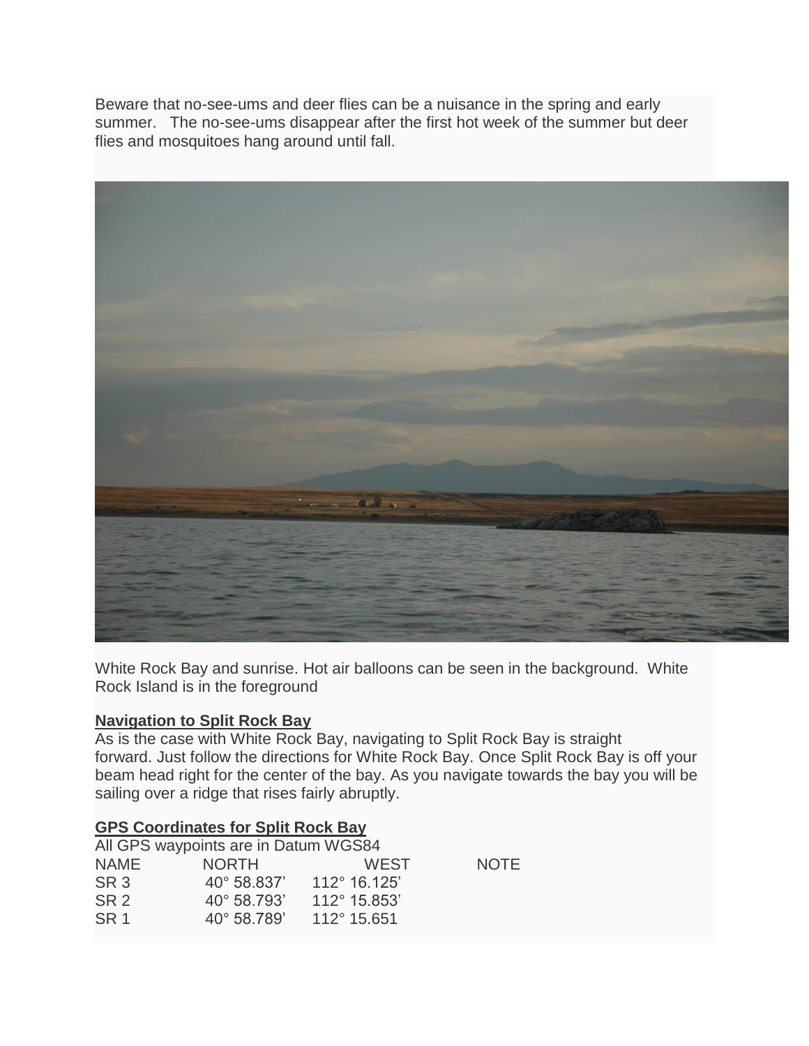Beware that no-see-ums and deer flies can be a nuisance in the spring and early summer. The no-see-ums disappear after the first hot week of the summer but deer flies and mosquitoes hang around until fall.



White Rock Bay and sunrise. Hot air balloons can be seen in the background. White Rock Island is in the foreground

#### **Navigation to Split Rock Bay**

As is the case with White Rock Bay, navigating to Split Rock Bay is straight forward. Just follow the directions for White Rock Bay. Once Split Rock Bay is off your beam head right for the center of the bay. As you navigate towards the bay you will be sailing over a ridge that rises fairly abruptly.

#### **GPS Coordinates for Split Rock Bay**

|                 | All GPS waypoints are in Datum WGS84 |              |             |
|-----------------|--------------------------------------|--------------|-------------|
| NAME            | <b>NORTH</b>                         | <b>WEST</b>  | <b>NOTE</b> |
| SR <sub>3</sub> | $40^{\circ}$ 58.837                  | 112° 16.125' |             |
| SR <sub>2</sub> | $40^{\circ}$ 58.793'                 | 112° 15.853' |             |
| SR <sub>1</sub> | $40^{\circ}$ 58.789'                 | 112° 15.651  |             |